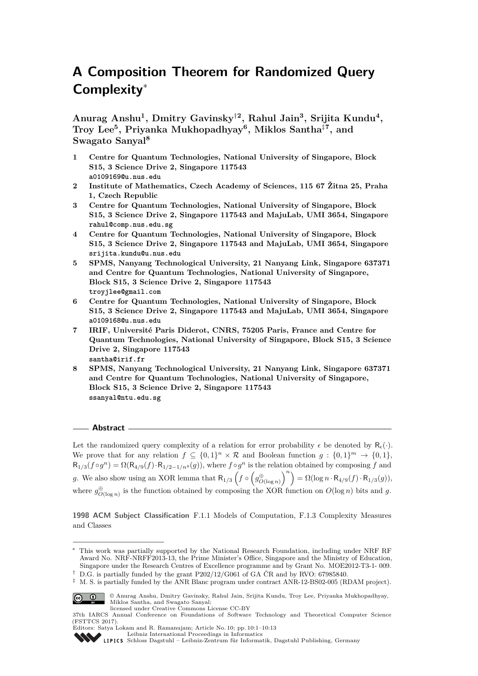# **A Composition Theorem for Randomized Query Complexity**<sup>∗</sup>

**Anurag Anshu<sup>1</sup> , Dmitry Gavinsky**†**<sup>2</sup> , Rahul Jain<sup>3</sup> , Srijita Kundu<sup>4</sup> , Troy Lee<sup>5</sup> , Priyanka Mukhopadhyay<sup>6</sup> , Miklos Santha**‡**<sup>7</sup> , and Swagato Sanyal<sup>8</sup>**

- **1 Centre for Quantum Technologies, National University of Singapore, Block S15, 3 Science Drive 2, Singapore 117543 a0109169@u.nus.edu**
- **2 Institute of Mathematics, Czech Academy of Sciences, 115 67 Žitna 25, Praha 1, Czech Republic**
- **3 Centre for Quantum Technologies, National University of Singapore, Block S15, 3 Science Drive 2, Singapore 117543 and MajuLab, UMI 3654, Singapore rahul@comp.nus.edu.sg**
- **4 Centre for Quantum Technologies, National University of Singapore, Block S15, 3 Science Drive 2, Singapore 117543 and MajuLab, UMI 3654, Singapore srijita.kundu@u.nus.edu**
- **5 SPMS, Nanyang Technological University, 21 Nanyang Link, Singapore 637371 and Centre for Quantum Technologies, National University of Singapore, Block S15, 3 Science Drive 2, Singapore 117543 troyjlee@gmail.com**
- **6 Centre for Quantum Technologies, National University of Singapore, Block S15, 3 Science Drive 2, Singapore 117543 and MajuLab, UMI 3654, Singapore a0109168@u.nus.edu**
- **7 IRIF, Université Paris Diderot, CNRS, 75205 Paris, France and Centre for Quantum Technologies, National University of Singapore, Block S15, 3 Science Drive 2, Singapore 117543 santha@irif.fr**
- **8 SPMS, Nanyang Technological University, 21 Nanyang Link, Singapore 637371 and Centre for Quantum Technologies, National University of Singapore, Block S15, 3 Science Drive 2, Singapore 117543 ssanyal@ntu.edu.sg**

# **Abstract**

Let the randomized query complexity of a relation for error probability  $\epsilon$  be denoted by  $R_{\epsilon}(\cdot)$ . We prove that for any relation  $f \subseteq \{0,1\}^n \times \mathcal{R}$  and Boolean function  $g : \{0,1\}^m \to \{0,1\}$ ,  $R_{1/3}(f \circ g^n) = \Omega(R_{4/9}(f) \cdot R_{1/2-1/n^4}(g))$ , where  $f \circ g^n$  is the relation obtained by composing *f* and *g*. We also show using an XOR lemma that  $R_{1/3}$   $(f \circ (g_{O(\log n)}^{\oplus})^n) = \Omega(\log n \cdot R_{4/9}(f) \cdot R_{1/3}(g)),$ where  $g^{\oplus}_{O(\log n)}$  is the function obtained by composing the XOR function on  $O(\log n)$  bits and g.

**1998 ACM Subject Classification** F.1.1 Models of Computation, F.1.3 Complexity Measures and Classes

<sup>‡</sup> M. S. is partially funded by the ANR Blanc program under contract ANR-12-BS02-005 (RDAM project).



© Anurag Anshu, Dmitry Gavinsky, Rahul Jain, Srijita Kundu, Troy Lee, Priyanka Mukhopadhyay, Miklos Santha, and Swagato Sanyal; licensed under Creative Commons License CC-BY

<sup>∗</sup> This work was partially supported by the National Research Foundation, including under NRF RF Award No. NRF-NRFF2013-13, the Prime Minister's Office, Singapore and the Ministry of Education, Singapore under the Research Centres of Excellence programme and by Grant No. MOE2012-T3-1- 009.

<sup>†</sup> D.G. is partially funded by the grant P202/12/G061 of GA ČR and by RVO: 67985840.

<sup>37</sup>th IARCS Annual Conference on Foundations of Software Technology and Theoretical Computer Science (FSTTCS 2017).

Editors: Satya Lokam and R. Ramanujam; Article No. 10; pp. 10:1–10[:13](#page-12-0)

[Leibniz International Proceedings in Informatics](http://www.dagstuhl.de/lipics/) [Schloss Dagstuhl – Leibniz-Zentrum für Informatik, Dagstuhl Publishing, Germany](http://www.dagstuhl.de)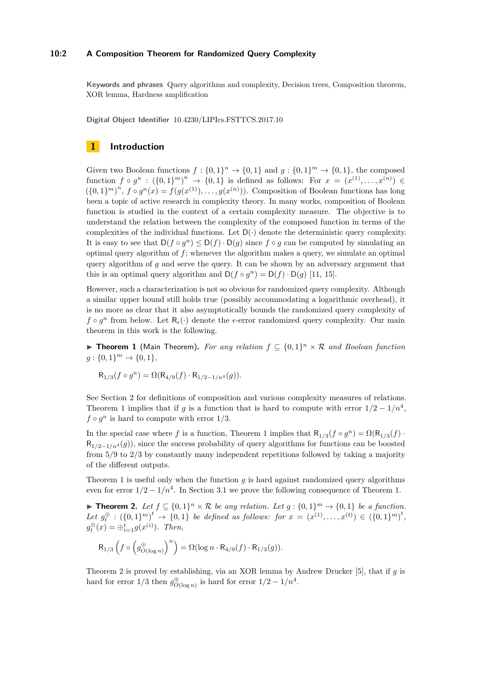# **10:2 A Composition Theorem for Randomized Query Complexity**

**Keywords and phrases** Query algorithms and complexity, Decision trees, Composition theorem, XOR lemma, Hardness amplification

**Digital Object Identifier** [10.4230/LIPIcs.FSTTCS.2017.10](http://dx.doi.org/10.4230/LIPIcs.FSTTCS.2017.10)

# **1 Introduction**

Given two Boolean functions  $f: \{0,1\}^n \to \{0,1\}$  and  $g: \{0,1\}^m \to \{0,1\}$ , the composed function  $f \circ g^n : (\{0,1\}^m)^n \to \{0,1\}$  is defined as follows: For  $x = (x^{(1)},...,x^{(n)}) \in$  $(\{0,1\}^m)^n$ ,  $f \circ g^n(x) = f(g(x^{(1)}), \ldots, g(x^{(n)}))$ . Composition of Boolean functions has long been a topic of active research in complexity theory. In many works, composition of Boolean function is studied in the context of a certain complexity measure. The objective is to understand the relation between the complexity of the composed function in terms of the complexities of the individual functions. Let  $D(\cdot)$  denote the deterministic query complexity. It is easy to see that  $D(f \circ g^n) \leq D(f) \cdot D(g)$  since  $f \circ g$  can be computed by simulating an optimal query algorithm of *f*; whenever the algorithm makes a query, we simulate an optimal query algorithm of *g* and serve the query. It can be shown by an adversary argument that this is an optimal query algorithm and  $D(f \circ g^n) = D(f) \cdot D(g)$  [\[11,](#page-12-1) [15\]](#page-12-2).

However, such a characterization is not so obvious for randomized query complexity. Although a similar upper bound still holds true (possibly accommodating a logarithmic overhead), it is no more as clear that it also asymptotically bounds the randomized query complexity of  $f \circ g^n$  from below. Let  $\mathsf{R}_{\epsilon}(\cdot)$  denote the  $\epsilon$ -error randomized query complexity. Our main theorem in this work is the following.

<span id="page-1-0"></span>**Findment 1** (Main Theorem). For any relation  $f \subseteq \{0,1\}^n \times \mathcal{R}$  and Boolean function  $g: \{0, 1\}^m \to \{0, 1\},\$ 

$$
R_{1/3}(f \circ g^n) = \Omega(R_{4/9}(f) \cdot R_{1/2 - 1/n^4}(g)).
$$

See Section [2](#page-3-0) for definitions of composition and various complexity measures of relations. Theorem [1](#page-1-0) implies that if *g* is a function that is hard to compute with error  $1/2 - 1/n^4$ ,  $f \circ g^n$  is hard to compute with error  $1/3$ .

In the special case where *f* is a function, Theorem [1](#page-1-0) implies that  $R_{1/3}(f \circ g^n) = \Omega(R_{1/3}(f) \cdot g^n)$  $R_{1/2-1/n^4}(g)$ , since the success probability of query algorithms for functions can be boosted from 5*/*9 to 2*/*3 by constantly many independent repetitions followed by taking a majority of the different outputs.

Theorem [1](#page-1-0) is useful only when the function *g* is hard against randomized query algorithms even for error  $1/2 - 1/n^4$ . In Section [3.1](#page-10-0) we prove the following consequence of Theorem [1.](#page-1-0)

<span id="page-1-1"></span>▶ **Theorem 2.** Let  $f \subseteq \{0,1\}^n \times \mathcal{R}$  be any relation. Let  $g : \{0,1\}^m \to \{0,1\}$  be a function.  $Let g_t^{\oplus} : (\{0,1\}^m)^t \rightarrow \{0,1\}$  be defined as follows: for  $x = (x^{(1)},...,x^{(t)}) \in (\{0,1\}^m)^t$ ,  $g_t^{\oplus}(x) = \bigoplus_{i=1}^t g(x^{(i)})$ *. Then,* 

$$
\mathsf{R}_{1/3}\left(f\circ\left(g^{\oplus}_{O(\log n)}\right)^n\right)=\Omega(\log n\cdot\mathsf{R}_{4/9}(f)\cdot\mathsf{R}_{1/3}(g)).
$$

Theorem [2](#page-1-1) is proved by establishing, via an XOR lemma by Andrew Drucker [\[5\]](#page-11-0), that if *g* is hard for error  $1/3$  then  $g_{O(\log n)}^{\oplus}$  is hard for error  $1/2 - 1/n^4$ .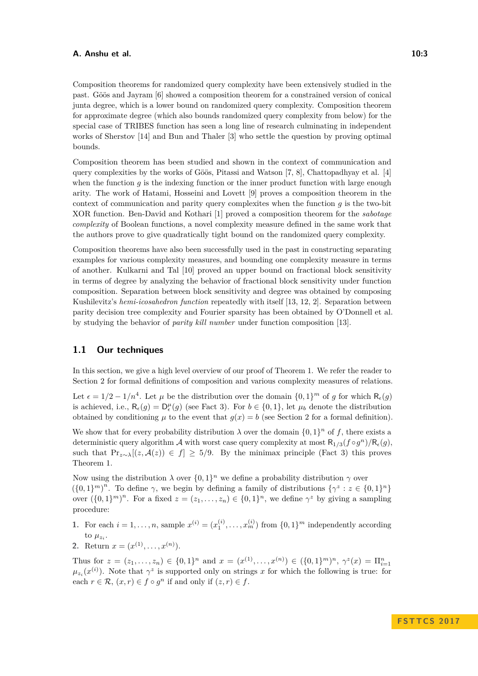Composition theorems for randomized query complexity have been extensively studied in the past. Göös and Jayram [\[6\]](#page-11-1) showed a composition theorem for a constrained version of conical junta degree, which is a lower bound on randomized query complexity. Composition theorem for approximate degree (which also bounds randomized query complexity from below) for the special case of TRIBES function has seen a long line of research culminating in independent works of Sherstov [\[14\]](#page-12-3) and Bun and Thaler [\[3\]](#page-11-2) who settle the question by proving optimal bounds.

Composition theorem has been studied and shown in the context of communication and query complexities by the works of Göös, Pitassi and Watson [\[7,](#page-11-3) [8\]](#page-11-4), Chattopadhyay et al. [\[4\]](#page-11-5) when the function *q* is the indexing function or the inner product function with large enough arity. The work of Hatami, Hosseini and Lovett [\[9\]](#page-12-4) proves a composition theorem in the context of communication and parity query complexites when the function *g* is the two-bit XOR function. Ben-David and Kothari [\[1\]](#page-11-6) proved a composition theorem for the *sabotage complexity* of Boolean functions, a novel complexity measure defined in the same work that the authors prove to give quadratically tight bound on the randomized query complexity.

Composition theorems have also been successfully used in the past in constructing separating examples for various complexity measures, and bounding one complexity measure in terms of another. Kulkarni and Tal [\[10\]](#page-12-5) proved an upper bound on fractional block sensitivity in terms of degree by analyzing the behavior of fractional block sensitivity under function composition. Separation between block sensitivity and degree was obtained by composing Kushilevitz's *hemi-icosahedron function* repeatedly with itself [\[13,](#page-12-6) [12,](#page-12-7) [2\]](#page-11-7). Separation between parity decision tree complexity and Fourier sparsity has been obtained by O'Donnell et al. by studying the behavior of *parity kill number* under function composition [\[13\]](#page-12-6).

# <span id="page-2-0"></span>**1.1 Our techniques**

In this section, we give a high level overview of our proof of Theorem [1.](#page-1-0) We refer the reader to Section [2](#page-3-0) for formal definitions of composition and various complexity measures of relations.

Let  $\epsilon = 1/2 - 1/n^4$ . Let  $\mu$  be the distribution over the domain  $\{0, 1\}^m$  of g for which  $\mathsf{R}_{\epsilon}(g)$ is achieved, i.e.,  $R_{\epsilon}(g) = D_{\epsilon}^{\mu}(g)$  (see Fact [3\)](#page-4-0). For  $b \in \{0,1\}$ , let  $\mu_b$  denote the distribution obtained by conditioning  $\mu$  to the event that  $g(x) = b$  (see Section [2](#page-3-0) for a formal definition).

We show that for every probability distribution  $\lambda$  over the domain  $\{0,1\}^n$  of f, there exists a deterministic query algorithm A with worst case query complexity at most  $R_{1/3}(f \circ g^n)/R_{\epsilon}(g)$ , such that  $Pr_{z\sim\lambda}[(z,\mathcal{A}(z)) \in f] \geq 5/9$ . By the minimax principle (Fact [3\)](#page-4-0) this proves Theorem [1.](#page-1-0)

Now using the distribution  $\lambda$  over  $\{0,1\}^n$  we define a probability distribution  $\gamma$  over  $({0,1}^m)^n$ . To define *γ*, we begin by defining a family of distributions  ${\gamma^z : z \in {0,1}^n}$ over  $({0,1})^m$ <sup>n</sup>. For a fixed  $z = (z_1, \ldots, z_n) \in {0,1}^n$ , we define  $\gamma^z$  by giving a sampling procedure:

- **1.** For each  $i = 1, ..., n$ , sample  $x^{(i)} = (x_1^{(i)}, ..., x_m^{(i)})$  from  $\{0, 1\}^m$  independently according to  $\mu_{z_i}$ .
- **2.** Return  $x = (x^{(1)}, \ldots, x^{(n)})$ .

Thus for  $z = (z_1, \ldots, z_n) \in \{0, 1\}^n$  and  $x = (x^{(1)}, \ldots, x^{(n)}) \in (\{0, 1\}^m)^n$ ,  $\gamma^z(x) = \prod_{i=1}^n$  $\mu_{z_i}(x^{(i)})$ . Note that  $\gamma^z$  is supported only on strings *x* for which the following is true: for each  $r \in \mathcal{R}$ ,  $(x, r) \in f \circ g^n$  if and only if  $(z, r) \in f$ .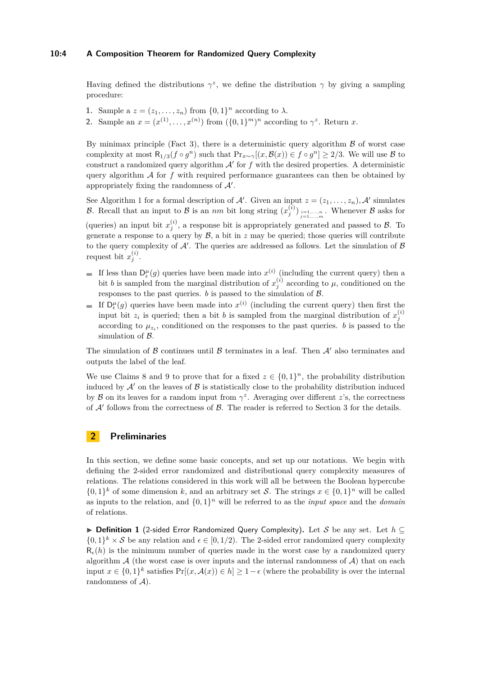# **10:4 A Composition Theorem for Randomized Query Complexity**

Having defined the distributions  $\gamma^z$ , we define the distribution  $\gamma$  by giving a sampling procedure:

- **1.** Sample a  $z = (z_1, \ldots, z_n)$  from  $\{0, 1\}^n$  according to  $\lambda$ .
- **2.** Sample an  $x = (x^{(1)}, \ldots, x^{(n)})$  from  $({0,1}^m)^n$  according to  $\gamma^z$ . Return *x*.

By minimax principle (Fact [3\)](#page-4-0), there is a deterministic query algorithm  $\beta$  of worst case complexity at most  $R_{1/3}(f \circ g^n)$  such that  $\Pr_{x \sim \gamma}[(x, \mathcal{B}(x)) \in f \circ g^n] \ge 2/3$ . We will use  $\mathcal B$  to construct a randomized query algorithm  $A'$  for  $f$  with the desired properties. A deterministic query algorithm  $A$  for  $f$  with required performance guarantees can then be obtained by appropriately fixing the randomness of  $\mathcal{A}'$ .

See Algorithm [1](#page-8-0) for a formal description of A'. Given an input  $z = (z_1, \ldots, z_n)$ , A' simulates B. Recall that an input to B is an *nm* bit long string  $(x_j^{(i)})_{\substack{i=1,\ldots,n\\j=1,\ldots,m}}$ . Whenever B asks for (queries) an input bit  $x_j^{(i)}$ , a response bit is appropriately generated and passed to  $\beta$ . To generate a response to a query by  $\mathcal{B}$ , a bit in  $z$  may be queried; those queries will contribute to the query complexity of  $\mathcal{A}'$ . The queries are addressed as follows. Let the simulation of  $\mathcal{B}$ request bit  $x_j^{(i)}$ .

- If less than  $D_{\epsilon}^{\mu}(g)$  queries have been made into  $x^{(i)}$  (including the current query) then a bit *b* is sampled from the marginal distribution of  $x_j^{(i)}$  according to  $\mu$ , conditioned on the responses to the past queries.  $b$  is passed to the simulation of  $B$ .
- If  $D_{\epsilon}^{\mu}(g)$  queries have been made into  $x^{(i)}$  (including the current query) then first the input bit  $z_i$  is queried; then a bit *b* is sampled from the marginal distribution of  $x_j^{(i)}$ according to  $\mu_{z_i}$ , conditioned on the responses to the past queries. *b* is passed to the simulation of  $\beta$ .

The simulation of B continues until B terminates in a leaf. Then  $\mathcal{A}'$  also terminates and outputs the label of the leaf.

We use Claims [8](#page-5-0) and [9](#page-6-0) to prove that for a fixed  $z \in \{0,1\}^n$ , the probability distribution induced by  $\mathcal{A}'$  on the leaves of  $\mathcal{B}$  is statistically close to the probability distribution induced by  $\beta$  on its leaves for a random input from  $\gamma^z$ . Averaging over different *z*'s, the correctness of  $A'$  follows from the correctness of  $B$ . The reader is referred to Section [3](#page-7-0) for the details.

# <span id="page-3-0"></span>**2 Preliminaries**

In this section, we define some basic concepts, and set up our notations. We begin with defining the 2-sided error randomized and distributional query complexity measures of relations. The relations considered in this work will all be between the Boolean hypercube  $\{0,1\}^k$  of some dimension k, and an arbitrary set S. The strings  $x \in \{0,1\}^n$  will be called as inputs to the relation, and  $\{0,1\}^n$  will be referred to as the *input space* and the *domain* of relations.

**► Definition 1** (2-sided Error Randomized Query Complexity). Let S be any set. Let  $h \subseteq$  $\{0,1\}^k \times S$  be any relation and  $\epsilon \in [0,1/2)$ . The 2-sided error randomized query complexity  $R_{\epsilon}(h)$  is the minimum number of queries made in the worst case by a randomized query algorithm  $A$  (the worst case is over inputs and the internal randomness of  $A$ ) that on each input  $x \in \{0,1\}^k$  satisfies  $Pr[(x, \mathcal{A}(x)) \in h] \ge 1 - \epsilon$  (where the probability is over the internal randomness of  $A$ ).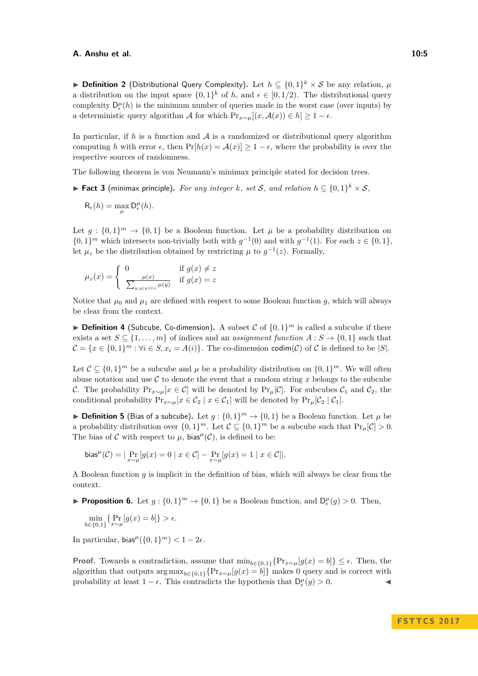**▶ Definition 2** (Distributional Query Complexity). Let  $h \subseteq \{0,1\}^k \times S$  be any relation,  $\mu$ a distribution on the input space  $\{0,1\}^k$  of h, and  $\epsilon \in [0,1/2)$ . The distributional query complexity  $D_{\epsilon}^{\mu}(h)$  is the minimum number of queries made in the worst case (over inputs) by a deterministic query algorithm A for which  $Pr_{x \sim \mu}[(x, \mathcal{A}(x)) \in h] \geq 1 - \epsilon$ .

In particular, if  $h$  is a function and  $A$  is a randomized or distributional query algorithm computing *h* with error  $\epsilon$ , then  $Pr[h(x) = A(x)] \ge 1 - \epsilon$ , where the probability is over the respective sources of randomness.

The following theorem is von Neumann's minimax principle stated for decision trees.

<span id="page-4-0"></span>▶ **Fact 3** (minimax principle). For any integer *k*, set *S*, and relation  $h \subseteq \{0,1\}^k \times S$ ,

$$
R_{\epsilon}(h) = \max_{\mu} D_{\epsilon}^{\mu}(h).
$$

Let  $g: \{0,1\}^m \to \{0,1\}$  be a Boolean function. Let  $\mu$  be a probability distribution on  $\{0,1\}^m$  which intersects non-trivially both with  $g^{-1}(0)$  and with  $g^{-1}(1)$ . For each  $z \in \{0,1\}$ , let  $\mu_z$  be the distribution obtained by restricting  $\mu$  to  $g^{-1}(z)$ . Formally,

$$
\mu_z(x) = \begin{cases} 0 & \text{if } g(x) \neq z \\ \frac{\mu(x)}{\sum_{y:g(y)=z} \mu(y)} & \text{if } g(x) = z \end{cases}
$$

Notice that  $\mu_0$  and  $\mu_1$  are defined with respect to some Boolean function g, which will always be clear from the context.

**Definition 4** (Subcube, Co-dimension). A subset C of  $\{0,1\}^m$  is called a subcube if there exists a set  $S \subseteq \{1, \ldots, m\}$  of indices and an *assignment function*  $A : S \to \{0, 1\}$  such that  $\mathcal{C} = \{x \in \{0,1\}^m : \forall i \in S, x_i = A(i)\}.$  The co-dimension codim(C) of C is defined to be |S|.

Let  $\mathcal{C} \subseteq \{0,1\}^m$  be a subcube and  $\mu$  be a probability distribution on  $\{0,1\}^m$ . We will often abuse notation and use  $\mathcal C$  to denote the event that a random string  $x$  belongs to the subcube C. The probability  $Pr_{x\sim\mu}[x \in C]$  will be denoted by  $Pr_{\mu}[C]$ . For subcubes  $C_1$  and  $C_2$ , the conditional probability  $Pr_{x \sim \mu}[x \in C_2 \mid x \in C_1]$  will be denoted by  $Pr_{\mu}[C_2 \mid C_1]$ .

**Definition 5** (Bias of a subcube). Let  $g: \{0,1\}^m \to \{0,1\}$  be a Boolean function. Let  $\mu$  be a probability distribution over  $\{0,1\}^m$ . Let  $\mathcal{C} \subseteq \{0,1\}^m$  be a subcube such that  $\Pr_{\mu}[\mathcal{C}] > 0$ . The bias of C with respect to  $\mu$ , bias<sup> $\mu$ </sup>(C), is defined to be:

$$
\mathrm{bias}^{\mu}(\mathcal{C}) = |\Pr_{x \sim \mu}[g(x) = 0 \mid x \in \mathcal{C}] - \Pr_{x \sim \mu}[g(x) = 1 \mid x \in \mathcal{C}]|.
$$

A Boolean function *g* is implicit in the definition of bias, which will always be clear from the context.

<span id="page-4-1"></span>**Proposition 6.** Let  $g: \{0,1\}^m \to \{0,1\}$  be a Boolean function, and  $D_{\epsilon}^{\mu}(g) > 0$ . Then,

$$
\min_{b \in \{0,1\}} \{ \Pr_{x \sim \mu}[g(x) = b] \} > \epsilon.
$$

In particular,  $bias^{\mu}(\{0, 1\}^m) < 1 - 2\epsilon$ .

**Proof.** Towards a contradiction, assume that  $\min_{b \in \{0,1\}} \{Pr_{x \sim \mu}[g(x) = b]\} \leq \epsilon$ . Then, the algorithm that outputs  $\arg \max_{b \in \{0,1\}} \{Pr_{x \sim \mu}[g(x) = b]\}$  makes 0 query and is correct with probability at least  $1 - \epsilon$ . This contradicts the hypothesis that  $D_{\epsilon}^{\mu}(g) > 0$ .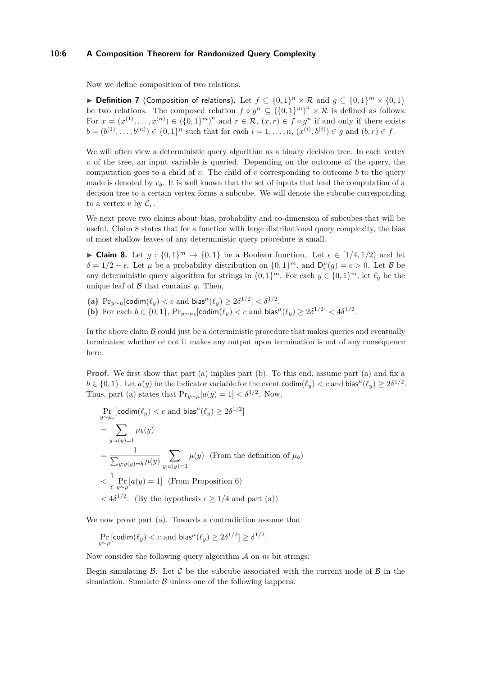## **10:6 A Composition Theorem for Randomized Query Complexity**

Now we define composition of two relations.

▶ **Definition 7** (Composition of relations). Let  $f \subseteq \{0,1\}^n \times \mathcal{R}$  and  $g \subseteq \{0,1\}^m \times \{0,1\}$ be two relations. The composed relation  $f \circ g^n \subseteq (\{0,1\}^m)^n \times \mathcal{R}$  is defined as follows: For  $x = (x^{(1)}, \ldots, x^{(n)}) \in (\{0, 1\}^m)^n$  and  $r \in \mathcal{R}, (x, r) \in f \circ g^n$  if and only if there exists  $b = (b^{(1)}, \ldots, b^{(n)}) \in \{0, 1\}^n$  such that for each  $i = 1, \ldots, n$ ,  $(x^{(i)}, b^{(i)}) \in g$  and  $(b, r) \in f$ .

We will often view a deterministic query algorithm as a binary decision tree. In each vertex *v* of the tree, an input variable is queried. Depending on the outcome of the query, the computation goes to a child of *v*. The child of *v* corresponding to outcome *b* to the query made is denoted by  $v<sub>b</sub>$ . It is well known that the set of inputs that lead the computation of a decision tree to a certain vertex forms a subcube. We will denote the subcube corresponding to a vertex  $v$  by  $\mathcal{C}_v$ .

We next prove two claims about bias, probability and co-dimension of subcubes that will be useful. Claim [8](#page-5-0) states that for a function with large distributional query complexity, the bias of most shallow leaves of any deterministic query procedure is small.

<span id="page-5-0"></span>► Claim 8. Let  $g: \{0,1\}^m \to \{0,1\}$  be a Boolean function. Let  $\epsilon \in [1/4, 1/2)$  and let  $\delta = 1/2 - \epsilon$ . Let  $\mu$  be a probability distribution on  $\{0, 1\}^m$ , and  $D_{\epsilon}^{\mu}(g) = c > 0$ . Let  $\beta$  be any deterministic query algorithm for strings in  $\{0, 1\}^m$ . For each  $y \in \{0, 1\}^m$ , let  $\ell_y$  be the unique leaf of  $\beta$  that contains  $\gamma$ . Then,

(a)  $\Pr_{y \sim \mu}[\text{codim}(\ell_y) < c \text{ and } \text{bias}^{\mu}(\ell_y) \geq 2\delta^{1/2}] < \delta^{1/2}$ . **(b)** For each  $b \in \{0, 1\}$ ,  $Pr_{y \sim \mu_b}[\text{codim}(\ell_y) < c \text{ and } \text{bias}^{\mu}(\ell_y) \geq 2\delta^{1/2}] < 4\delta^{1/2}$ .

In the above claim  $\beta$  could just be a deterministic procedure that makes queries and eventually terminates; whether or not it makes any output upon termination is not of any consequence here.

**Proof.** We first show that part (a) implies part (b). To this end, assume part (a) and fix a  $b \in \{0, 1\}$ . Let  $a(y)$  be the indicator variable for the event  $\text{codim}(\ell_y) < c$  and  $\text{bias}^{\mu}(\ell_y) \geq 2\delta^{1/2}$ . Thus, part (a) states that  $\Pr_{y \sim \mu}[a(y) = 1] < \delta^{1/2}$ . Now,

$$
\Pr_{y \sim \mu_b}[\text{codim}(\ell_y) < c \text{ and bias}^{\mu}(\ell_y) \ge 2\delta^{1/2}]
$$
\n
$$
= \sum_{y: a(y)=1} \mu_b(y)
$$
\n
$$
= \frac{1}{\sum_{y:g(y)=b} \mu(y)} \sum_{y:a(y)=1} \mu(y) \text{ (From the definition of } \mu_b)
$$
\n
$$
< \frac{1}{\epsilon} \Pr_{y \sim \mu}[a(y) = 1] \text{ (From Proposition 6)}
$$
\n
$$
< 4\delta^{1/2}. \text{ (By the hypothesis } \epsilon \ge 1/4 \text{ and part (a))}
$$

We now prove part (a). Towards a contradiction assume that

$$
\Pr_{y \sim \mu}[\text{codim}(\ell_y) < c \text{ and bias}^{\mu}(\ell_y) \ge 2\delta^{1/2}] \ge \delta^{1/2}.
$$

Now consider the following query algorithm  $A$  on  $m$  bit strings:

Begin simulating  $\beta$ . Let  $\beta$  be the subcube associated with the current node of  $\beta$  in the simulation. Simulate  $\beta$  unless one of the following happens.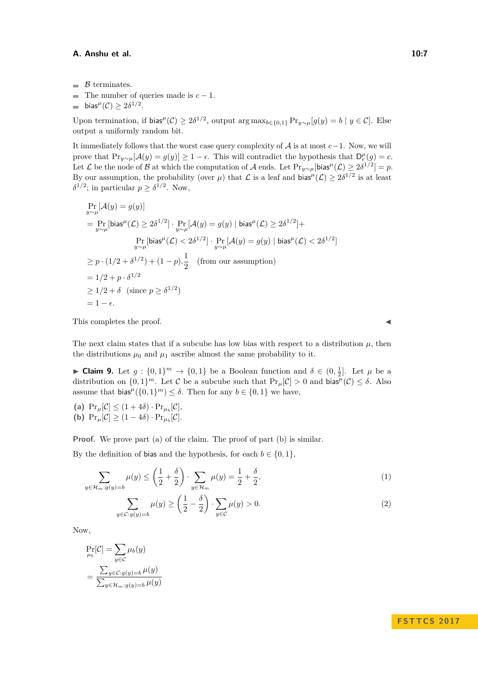- $\blacksquare$   $\beta$  terminates.
- The number of queries made is *c* − 1.  $\overline{\phantom{a}}$
- bias<sup> $\mu$ </sup>(C)  $\geq 2\delta^{1/2}$ .  $\overline{a}$

Upon termination, if  $\text{bias}^{\mu}(\mathcal{C}) \geq 2\delta^{1/2}$ , output  $\arg \max_{b \in \{0,1\}} \Pr_{y \sim \mu}[g(y) = b \mid y \in \mathcal{C}]$ . Else output a uniformly random bit.

It immediately follows that the worst case query complexity of  $A$  is at most  $c-1$ . Now, we will prove that  $Pr_{y \sim \mu}[\mathcal{A}(y) = g(y)] \ge 1 - \epsilon$ . This will contradict the hypothesis that  $D_{\epsilon}^{\mu}(g) = c$ . Let  $\mathcal L$  be the node of  $\mathcal B$  at which the computation of  $\mathcal A$  ends. Let  $\Pr_{y\sim\mu}[\textsf{bias}^{\mu}(\mathcal L)\geq 2\delta^{1/2}]=p$ . By our assumption, the probability (over  $\mu$ ) that  $\mathcal L$  is a leaf and bias<sup> $\mu$ </sup>( $\mathcal L$ )  $\geq 2\delta^{1/2}$  is at least  $\delta^{1/2}$ ; in particular  $p \geq \delta^{1/2}$ . Now,

$$
\Pr_{y \sim \mu}[\mathcal{A}(y) = g(y)]
$$
\n
$$
= \Pr_{y \sim \mu}[\text{bias}^{\mu}(\mathcal{L}) \ge 2\delta^{1/2}] \cdot \Pr_{y \sim \mu}[\mathcal{A}(y) = g(y) | \text{bias}^{\mu}(\mathcal{L}) \ge 2\delta^{1/2}] +
$$
\n
$$
\Pr_{y \sim \mu}[\text{bias}^{\mu}(\mathcal{L}) < 2\delta^{1/2}] \cdot \Pr_{y \sim \mu}[\mathcal{A}(y) = g(y) | \text{bias}^{\mu}(\mathcal{L}) < 2\delta^{1/2}]
$$
\n
$$
\ge p \cdot (1/2 + \delta^{1/2}) + (1 - p) \cdot \frac{1}{2} \quad \text{(from our assumption)}
$$
\n
$$
= 1/2 + p \cdot \delta^{1/2}
$$
\n
$$
\ge 1/2 + \delta \quad \text{(since } p \ge \delta^{1/2}\text{)}
$$
\n
$$
= 1 - \epsilon.
$$

This completes the proof.

The next claim states that if a subcube has low bias with respect to a distribution  $\mu$ , then the distributions  $\mu_0$  and  $\mu_1$  ascribe almost the same probability to it.

<span id="page-6-0"></span>► Claim 9. Let  $g: \{0,1\}^m \to \{0,1\}$  be a Boolean function and  $\delta \in (0, \frac{1}{2}]$ . Let  $\mu$  be a distribution on  $\{0,1\}^m$ . Let C be a subcube such that  $\Pr_{\mu}[\mathcal{C}] > 0$  and bias<sup> $\mu(\mathcal{C}) \leq \delta$ . Also</sup> assume that  $\text{bias}^{\mu}(\{0,1\}^m) \leq \delta$ . Then for any  $b \in \{0,1\}$  we have,

(a)  $\Pr_{\mu}[\mathcal{C}] \leq (1+4\delta) \cdot \Pr_{\mu_b}[\mathcal{C}],$ **(b)**  $\Pr_{\mu}[\mathcal{C}] \geq (1-4\delta) \cdot \Pr_{\mu_b}[\mathcal{C}].$ 

**Proof.** We prove part (a) of the claim. The proof of part (b) is similar.

By the definition of bias and the hypothesis, for each  $b \in \{0, 1\}$ ,

$$
\sum_{y \in \mathcal{H}_m: g(y)=b} \mu(y) \le \left(\frac{1}{2} + \frac{\delta}{2}\right) \cdot \sum_{y \in \mathcal{H}_m} \mu(y) = \frac{1}{2} + \frac{\delta}{2},\tag{1}
$$

$$
\sum_{y \in \mathcal{C}: g(y) = b} \mu(y) \ge \left(\frac{1}{2} - \frac{\delta}{2}\right) \cdot \sum_{y \in \mathcal{C}} \mu(y) > 0.
$$
\n(2)

Now,

$$
\Pr_{\mu_b}[\mathcal{C}] = \sum_{y \in \mathcal{C}} \mu_b(y)
$$

$$
= \frac{\sum_{y \in \mathcal{C}:g(y) = b} \mu(y)}{\sum_{y \in \mathcal{H}_m: g(y) = b} \mu(y)}
$$

<span id="page-6-2"></span><span id="page-6-1"></span>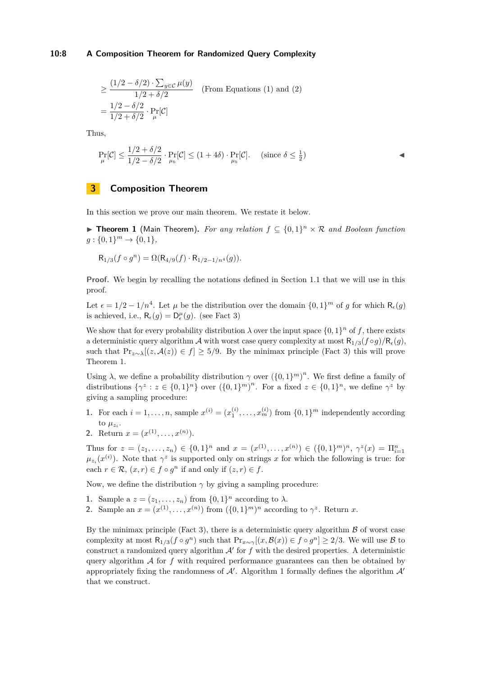# **10:8 A Composition Theorem for Randomized Query Complexity**

$$
\geq \frac{(1/2 - \delta/2) \cdot \sum_{y \in \mathcal{C}} \mu(y)}{1/2 + \delta/2}
$$
 (From Equations (1) and (2))  
= 
$$
\frac{1/2 - \delta/2}{1/2 + \delta/2} \cdot \Pr_{\mu}[\mathcal{C}]
$$

Thus,

$$
\Pr_{\mu}[\mathcal{C}] \le \frac{1/2 + \delta/2}{1/2 - \delta/2} \cdot \Pr_{\mu_b}[\mathcal{C}] \le (1 + 4\delta) \cdot \Pr_{\mu_b}[\mathcal{C}]. \quad (\text{since } \delta \le \frac{1}{2})
$$

# <span id="page-7-0"></span>**3 Composition Theorem**

In this section we prove our main theorem. We restate it below.

**Fineorem 1** (Main Theorem). For any relation  $f \subseteq \{0,1\}^n \times \mathcal{R}$  and Boolean function  $g: \{0, 1\}^m \to \{0, 1\},\$ 

$$
R_{1/3}(f \circ g^n) = \Omega(R_{4/9}(f) \cdot R_{1/2 - 1/n^4}(g)).
$$

**Proof.** We begin by recalling the notations defined in Section [1.1](#page-2-0) that we will use in this proof.

Let  $\epsilon = 1/2 - 1/n^4$ . Let  $\mu$  be the distribution over the domain  $\{0,1\}^m$  of g for which  $\mathsf{R}_{\epsilon}(g)$ is achieved, i.e.,  $R_{\epsilon}(g) = D_{\epsilon}^{\mu}(g)$ . (see Fact [3\)](#page-4-0)

We show that for every probability distribution  $\lambda$  over the input space  $\{0,1\}^n$  of f, there exists a deterministic query algorithm A with worst case query complexity at most  $R_{1/3}(f \circ g)/R_{\epsilon}(g)$ , such that  $Pr_{z \sim \lambda}[(z, \mathcal{A}(z)) \in f] \geq 5/9$ . By the minimax principle (Fact [3\)](#page-4-0) this will prove Theorem [1.](#page-1-0)

Using  $\lambda$ , we define a probability distribution  $\gamma$  over  $({0,1})^m$ . We first define a family of distributions  $\{\gamma^z : z \in \{0,1\}^n\}$  over  $(\{0,1\}^m)^n$ . For a fixed  $z \in \{0,1\}^n$ , we define  $\gamma^z$  by giving a sampling procedure:

- **1.** For each  $i = 1, ..., n$ , sample  $x^{(i)} = (x_1^{(i)}, ..., x_m^{(i)})$  from  $\{0, 1\}^m$  independently according to  $\mu_{z_i}$ .
- 2. Return  $x = (x^{(1)}, \ldots, x^{(n)})$ .

Thus for  $z = (z_1, \ldots, z_n) \in \{0, 1\}^n$  and  $x = (x^{(1)}, \ldots, x^{(n)}) \in (\{0, 1\}^m)^n$ ,  $\gamma^z(x) = \prod_{i=1}^n$  $\mu_{z_i}(x^{(i)})$ . Note that  $\gamma^z$  is supported only on strings *x* for which the following is true: for each  $r \in \mathcal{R}$ ,  $(x, r) \in f \circ g^n$  if and only if  $(z, r) \in f$ .

Now, we define the distribution  $\gamma$  by giving a sampling procedure:

- **1.** Sample a  $z = (z_1, \ldots, z_n)$  from  $\{0, 1\}^n$  according to  $\lambda$ .
- **2.** Sample an  $x = (x^{(1)}, \ldots, x^{(n)})$  from  $(\{0,1\}^m)^n$  according to  $\gamma^z$ . Return *x*.

By the minimax principle (Fact [3\)](#page-4-0), there is a deterministic query algorithm  $\beta$  of worst case complexity at most  $R_{1/3}(f \circ g^n)$  such that  $\Pr_{x \sim \gamma}[(x, \mathcal{B}(x)) \in f \circ g^n] \ge 2/3$ . We will use  $\mathcal B$  to construct a randomized query algorithm  $A'$  for  $f$  with the desired properties. A deterministic query algorithm A for *f* with required performance guarantees can then be obtained by appropriately fixing the randomness of  $A'$ . Algorithm [1](#page-8-0) formally defines the algorithm  $A'$ that we construct.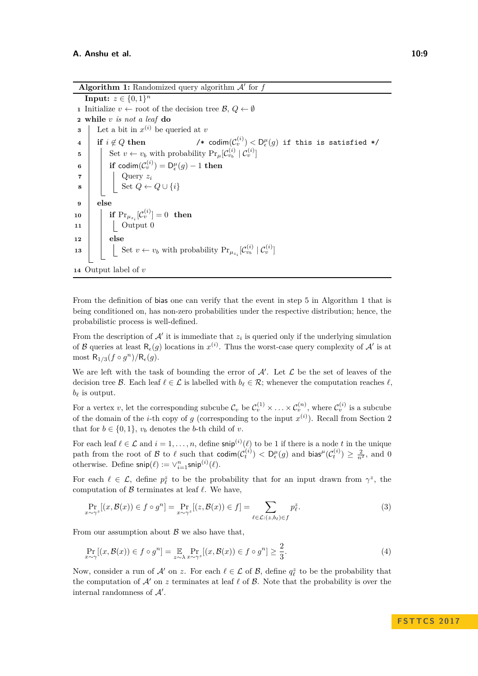**Algorithm 1:** Randomized query algorithm  $A'$  for  $f$ 

<span id="page-8-1"></span><span id="page-8-0"></span>**Input:**  $z \in \{0, 1\}^n$ **1** Initialize  $v \leftarrow \text{root of the decision tree } \mathcal{B}, Q \leftarrow \emptyset$ **<sup>2</sup> while** *v is not a leaf* **do 3** Let a bit in  $x^{(i)}$  be queried at *v* **4 if**  $i \notin Q$  **then**  $(v^{(i)}_v) < \mathsf{D}^{\mu}_{\epsilon}(g)$  if this is satisfied \*/ **5** Set  $v \leftarrow v_b$  with probability  $Pr_{\mu}[\mathcal{C}_{v_b}^{(i)} | \mathcal{C}_{v}^{(i)}]$  $\mathfrak{b} \quad \Big| \quad \Big| \quad \text{if } \mathsf{codim}(\mathcal{C}^{(i)}_{v}) = \mathsf{D}^{\mu}_{\epsilon}(g) - 1 \text{ then}$ **<sup>7</sup>** Query *z<sup>i</sup>* **8**  $\begin{bmatrix} \vdots \end{bmatrix}$  Set  $Q \leftarrow Q \cup \{i\}$ **9 else**  $\mathbf{10} \quad | \quad \textbf{if} \; \Pr_{\mu_{z_i}}[\mathcal{C}^{(i)}_v] = 0 \;\; \textbf{then}$ **11** | **Output 0 12 else 13**  $\left| \begin{array}{c} \left| \begin{array}{c} \left| \end{array} \right| \in \text{Set } v \leftarrow v_b \text{ with probability } \Pr_{\mu_{z_i}}[\mathcal{C}_{v_b}^{(i)} \mid \mathcal{C}_{v}^{(i)}] \end{array} \right|$ **<sup>14</sup>** Output label of *v*

<span id="page-8-4"></span>From the definition of bias one can verify that the event in step [5](#page-8-1) in Algorithm [1](#page-8-0) that is being conditioned on, has non-zero probabilities under the respective distribution; hence, the probabilistic process is well-defined.

From the description of  $A'$  it is immediate that  $z_i$  is queried only if the underlying simulation of B queries at least  $\mathsf{R}_{\epsilon}(g)$  locations in  $x^{(i)}$ . Thus the worst-case query complexity of  $\mathcal{A}'$  is at most  $R_{1/3}(f \circ g^n)/R_{\epsilon}(g)$ .

We are left with the task of bounding the error of  $A'$ . Let  $\mathcal L$  be the set of leaves of the decision tree  $\mathcal{B}$ . Each leaf  $\ell \in \mathcal{L}$  is labelled with  $b_{\ell} \in \mathcal{R}$ ; whenever the computation reaches  $\ell$ .  $b_{\ell}$  is output.

For a vertex *v*, let the corresponding subcube  $\mathcal{C}_v$  be  $\mathcal{C}_v^{(1)} \times \ldots \times \mathcal{C}_v^{(n)}$ , where  $\mathcal{C}_v^{(i)}$  is a subcube of the domain of the *i*-th copy of *g* (corresponding to the input  $x^{(i)}$ ). Recall from Section [2](#page-3-0) that for  $b \in \{0, 1\}$ ,  $v_b$  denotes the *b*-th child of *v*.

For each leaf  $\ell \in \mathcal{L}$  and  $i = 1, \ldots, n$ , define snip<sup>(*i*</sup>)( $\ell$ ) to be 1 if there is a node *t* in the unique path from the root of B to  $\ell$  such that codim $(\mathcal{C}^{(i)}_t) < D^{\mu}_{\epsilon}(g)$  and bias<sup> $\mu$ </sup> $(\mathcal{C}^{(i)}_t) \geq \frac{2}{n^2}$ , and 0 otherwise. Define  $\mathsf{snip}(\ell) := \vee_{i=1}^{n} \mathsf{snip}^{(i)}(\ell)$ .

For each  $\ell \in \mathcal{L}$ , define  $p_{\ell}^z$  to be the probability that for an input drawn from  $\gamma^z$ , the computation of  $\beta$  terminates at leaf  $\ell$ . We have,

<span id="page-8-2"></span>
$$
\Pr_{x \sim \gamma^z} [(x, \mathcal{B}(x)) \in f \circ g^n] = \Pr_{x \sim \gamma^z} [(z, \mathcal{B}(x)) \in f] = \sum_{\ell \in \mathcal{L}: (z, b_\ell) \in f} p_\ell^z.
$$
\n(3)

From our assumption about  $\beta$  we also have that,

<span id="page-8-3"></span>
$$
\Pr_{x \sim \gamma}[(x, \mathcal{B}(x)) \in f \circ g^n] = \mathop{\mathbb{E}}_{z \sim \lambda} \Pr_{x \sim \gamma^z}[(x, \mathcal{B}(x)) \in f \circ g^n] \ge \frac{2}{3}.
$$
\n(4)

Now, consider a run of  $\mathcal{A}'$  on z. For each  $\ell \in \mathcal{L}$  of  $\mathcal{B}$ , define  $q_{\ell}^z$  to be the probability that the computation of  $\mathcal{A}'$  on  $z$  terminates at leaf  $\ell$  of  $\mathcal{B}$ . Note that the probability is over the internal randomness of  $A'$ .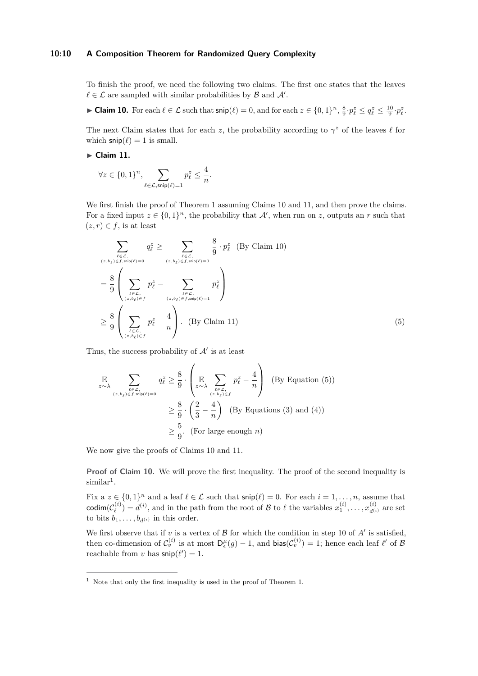# **10:10 A Composition Theorem for Randomized Query Complexity**

To finish the proof, we need the following two claims. The first one states that the leaves  $\ell \in \mathcal{L}$  are sampled with similar probabilities by  $\mathcal{B}$  and  $\mathcal{A}'$ .

<span id="page-9-0"></span>► Claim 10. For each  $\ell \in \mathcal{L}$  such that  $\mathsf{snip}(\ell) = 0$ , and for each  $z \in \{0,1\}^n$ ,  $\frac{8}{9} \cdot p_{\ell}^z \le q_{\ell}^z \le \frac{10}{9} \cdot p_{\ell}^z$ .

The next Claim states that for each *z*, the probability according to  $\gamma^z$  of the leaves  $\ell$  for which  $\textsf{snip}(\ell) = 1$  is small.

<span id="page-9-1"></span>► Claim 11.

$$
\forall z \in \{0,1\}^n, \sum_{\ell \in \mathcal{L}, \mathsf{snip}(\ell) = 1} p_{\ell}^z \le \frac{4}{n}.
$$

We first finish the proof of Theorem [1](#page-1-0) assuming Claims [10](#page-9-0) and [11,](#page-9-1) and then prove the claims. For a fixed input  $z \in \{0,1\}^n$ , the probability that  $\mathcal{A}'$ , when run on *z*, outputs an *r* such that  $(z, r) \in f$ , is at least

$$
\sum_{\ell \in \mathcal{L}, \atop (z, b_{\ell}) \in f, \text{snip}(\ell) = 0} q_{\ell}^{z} \ge \sum_{\ell \in \mathcal{L}, \atop (z, b_{\ell}) \in f, \text{snip}(\ell) = 0} \frac{8}{9} \cdot p_{\ell}^{z} \quad \text{(By Claim 10)}
$$
\n
$$
= \frac{8}{9} \left( \sum_{\ell \in \mathcal{L}, \atop (z, b_{\ell}) \in f} p_{\ell}^{z} - \sum_{\ell \in \mathcal{L}, \atop (z, b_{\ell}) \in f, \text{snip}(\ell) = 1} p_{\ell}^{z} \right)
$$
\n
$$
\ge \frac{8}{9} \left( \sum_{\ell \in \mathcal{L}, \atop (z, b_{\ell}) \in f} p_{\ell}^{z} - \frac{4}{n} \right). \quad \text{(By Claim 11)}
$$
\n
$$
(5)
$$

Thus, the success probability of  $A'$  is at least

<span id="page-9-2"></span>
$$
\mathbb{E}\n\sum_{\substack{\ell \in \mathcal{L}, \ (z,b_{\ell}) \in f, \text{sup}(\ell) = 0}} q_{\ell}^{z} \geq \frac{8}{9} \cdot \left( \mathbb{E}\n\sum_{\substack{\ell \in \mathcal{L}, \ (z,b_{\ell}) \in f}} p_{\ell}^{z} - \frac{4}{n} \right) \quad \text{(By Equation (5))}
$$
\n
$$
\geq \frac{8}{9} \cdot \left( \frac{2}{3} - \frac{4}{n} \right) \quad \text{(By Equations (3) and (4))}
$$
\n
$$
\geq \frac{5}{9} \cdot \text{(For large enough } n)
$$

We now give the proofs of Claims [10](#page-9-0) and [11.](#page-9-1)

**Proof of Claim [10.](#page-9-0)** We will prove the first inequality. The proof of the second inequality is  $\text{similar}^1$  $\text{similar}^1$ .

Fix  $a \ z \in \{0,1\}^n$  and a leaf  $\ell \in \mathcal{L}$  such that  $\mathsf{snip}(\ell) = 0$ . For each  $i = 1, \ldots, n$ , assume that  $\mathsf{codim}(\mathcal{C}^{(i)}_\ell)$  $\mathcal{L}^{(i)}$  and in the path from the root of B to  $\ell$  the variables  $x_1^{(i)}, \ldots, x_{d^{(i)}}^{(i)}$  are set to bits  $b_1, \ldots, b_{d^{(i)}}$  in this order.

We first observe that if  $v$  is a vertex of  $\beta$  for which the condition in step [10](#page-8-4) of  $A'$  is satisfied, then co-dimension of  $\mathcal{C}_v^{(i)}$  is at most  $D_\epsilon^\mu(g) - 1$ , and bias $(\mathcal{C}_v^{(i)}) = 1$ ; hence each leaf  $\ell'$  of  $\mathcal B$ reachable from *v* has  $\mathsf{snip}(\ell') = 1$ .

<span id="page-9-3"></span> $^{\rm 1}$  Note that only the first inequality is used in the proof of Theorem [1.](#page-1-0)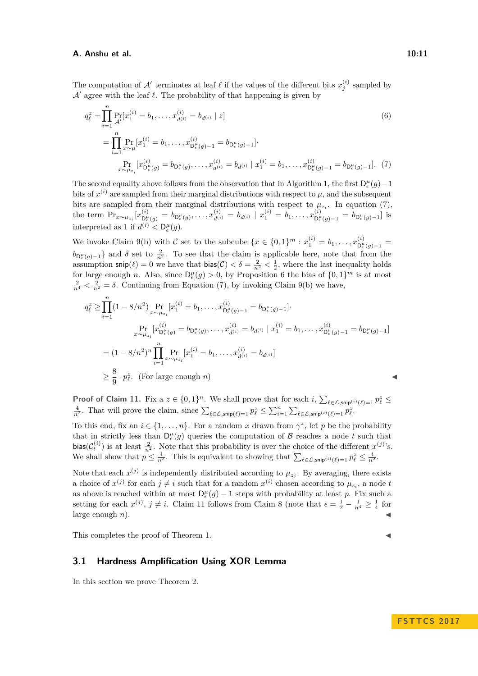The computation of  $\mathcal{A}'$  terminates at leaf  $\ell$  if the values of the different bits  $x_j^{(i)}$  sampled by  $\mathcal{A}'$  agree with the leaf  $\ell$ . The probability of that happening is given by

<span id="page-10-1"></span>
$$
q_{\ell}^{z} = \prod_{i=1}^{n} \Pr_{\mathcal{A}'}[x_{1}^{(i)} = b_{1}, \dots, x_{d^{(i)}}^{(i)} = b_{d^{(i)}} \mid z]
$$
(6)  

$$
= \prod_{i=1}^{n} \Pr_{x \sim \mu}[x_{1}^{(i)} = b_{1}, \dots, x_{D_{\ell}^{\mu}(g)-1}^{(i)} = b_{D_{\epsilon}^{\mu}(g)-1}].
$$
  

$$
\Pr_{x \sim \mu_{z_{i}}} [x_{D_{\epsilon}^{\mu}(g)}^{(i)} = b_{D_{\epsilon}^{\mu}(g)}, \dots, x_{d^{(i)}}^{(i)} = b_{d^{(i)}} \mid x_{1}^{(i)} = b_{1}, \dots, x_{D_{\epsilon}^{\mu}(g)-1}^{(i)} = b_{D_{\epsilon}^{\mu}(g)-1}].
$$
(7)

The second equality above follows from the observation that in Algorithm [1,](#page-8-0) the first  $D_{\epsilon}^{\mu}(g) - 1$ bits of  $x^{(i)}$  are sampled from their marginal distributions with respect to  $\mu$ , and the subsequent bits are sampled from their marginal distributions with respect to  $\mu_{z_i}$ . In equation [\(7\)](#page-10-1), the term  $\Pr_{x \sim \mu_{z_i}}[x_{\mathsf{D}_\epsilon^{\mu}}^{(i)}]$  $D^{\mu}_{\epsilon}(g) = b_{D^{\mu}_{\epsilon}}(g), \ldots, x_{d^{(i)}}^{(i)} = b_{d^{(i)}} \mid x_{1}^{(i)} = b_{1}, \ldots, x_{D^{\mu}_{\epsilon}}^{(i)}$  $b_{\mathsf{D}_{\epsilon}^{\mu}(g)-1}^{\mu}(g)-1} = b_{\mathsf{D}_{\epsilon}^{\mu}(g)-1}$  is interpreted as 1 if  $d^{(i)} < D_{\epsilon}^{\mu}(g)$ .

We invoke Claim [9\(](#page-6-0)b) with C set to the subcube  $\{x \in \{0,1\}^m : x_1^{(i)} = b_1, \ldots, x_{D_\epsilon}^{(i)}\}$  $D_{\epsilon}^{\mu}(g)-1$  =  $b_{\mathsf{D}_{\epsilon}^{\mu}(g)-1}$  and *δ* set to  $\frac{2}{n^2}$ . To see that the claim is applicable here, note that from the assumption  $\textsf{snip}(\ell) = 0$  we have that  $\textsf{bias}(\mathcal{C}) < \delta = \frac{2}{n^2} < \frac{1}{2}$ , where the last inequality holds for large enough *n*. Also, since  $D_{\epsilon}^{\mu}(g) > 0$ , by Proposition [6](#page-4-1) the bias of  $\{0,1\}^{m}$  is at most  $\frac{2}{n^4} < \frac{2}{n^2} = \delta$ . Continuing from Equation [\(7\)](#page-10-1), by invoking Claim [9\(](#page-6-0)b) we have,

$$
q_{\ell}^{z} \geq \prod_{i=1}^{n} (1 - 8/n^{2}) \Pr_{x \sim \mu_{z_{i}}} [x_{1}^{(i)} = b_{1}, \dots, x_{D_{\ell}^{\mu}(g)-1}^{(i)} = b_{D_{\epsilon}^{\mu}(g)-1}].
$$
  
\n
$$
\Pr_{x \sim \mu_{z_{i}}} [x_{D_{\epsilon}^{\mu}(g)}^{(i)} = b_{D_{\epsilon}^{\mu}(g)}, \dots, x_{d^{(i)}}^{(i)} = b_{d^{(i)}} | x_{1}^{(i)} = b_{1}, \dots, x_{D_{\epsilon}^{\mu}(g)-1}^{(i)} = b_{D_{\epsilon}^{\mu}(g)-1}]
$$
  
\n
$$
= (1 - 8/n^{2})^{n} \prod_{i=1}^{n} \Pr_{x \sim \mu_{z_{i}}} [x_{1}^{(i)} = b_{1}, \dots, x_{d^{(i)}}^{(i)} = b_{d^{(i)}}]
$$
  
\n
$$
\geq \frac{8}{9} \cdot p_{\ell}^{z}. \text{ (For large enough } n)
$$

**Proof of Claim [11.](#page-9-1)** Fix a  $z \in \{0,1\}^n$ . We shall prove that for each  $i$ ,  $\sum_{\ell \in \mathcal{L}, \mathsf{snip}(i)} \ell_{\ell} = 1} p_{\ell}^z \leq$  $\frac{4}{n^2}$ . That will prove the claim, since  $\sum_{\ell \in \mathcal{L}, \mathsf{snip}(\ell)=1} p_{\ell}^z \leq \sum_{i=1}^n \sum_{\ell \in \mathcal{L}, \mathsf{snip}^{(i)}(\ell)=1} p_{\ell}^z$ .

To this end, fix an  $i \in \{1, \ldots, n\}$ . For a random x drawn from  $\gamma^z$ , let p be the probability that in strictly less than  $D_{\epsilon}^{\mu}(g)$  queries the computation of B reaches a node t such that bias( $\mathcal{C}_t^{(i)}$ ) is at least  $\frac{2}{n^2}$ . Note that this probability is over the choice of the different  $x^{(j)}$ 's. We shall show that  $p \leq \frac{4}{n^2}$ . This is equivalent to showing that  $\sum_{\ell \in \mathcal{L}, \mathsf{snip}^{(i)}(\ell)=1} p_{\ell}^z \leq \frac{4}{n^2}$ .

Note that each  $x^{(j)}$  is independently distributed according to  $\mu_{z_j}$ . By averaging, there exists a choice of  $x^{(j)}$  for each  $j \neq i$  such that for a random  $x^{(i)}$  chosen according to  $\mu_{z_i}$ , a node *t* as above is reached within at most  $D_{\epsilon}^{\mu}(g) - 1$  steps with probability at least *p*. Fix such a setting for each  $x^{(j)}$ ,  $j \neq i$ . Claim [11](#page-9-1) follows from Claim [8](#page-5-0) (note that  $\epsilon = \frac{1}{2} - \frac{1}{n^4} \geq \frac{1}{4}$  for large enough  $n$ ).

This completes the proof of Theorem [1.](#page-1-0)

# <span id="page-10-0"></span>**3.1 Hardness Amplification Using XOR Lemma**

In this section we prove Theorem [2.](#page-1-1)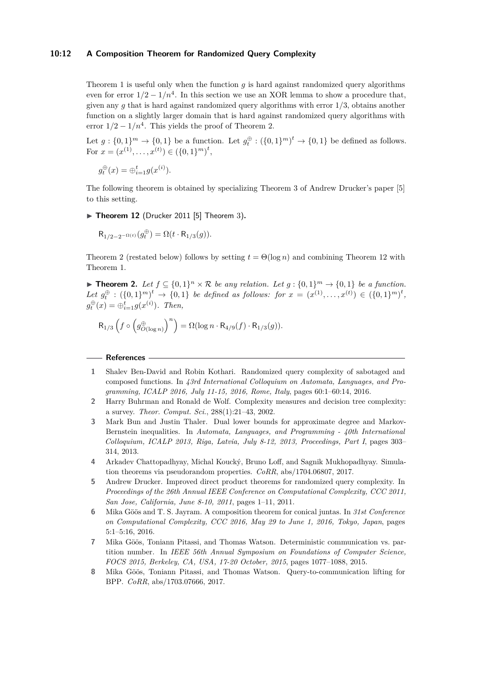# **10:12 A Composition Theorem for Randomized Query Complexity**

Theorem [1](#page-1-0) is useful only when the function *g* is hard against randomized query algorithms even for error  $1/2 - 1/n^4$ . In this section we use an XOR lemma to show a procedure that, given any *g* that is hard against randomized query algorithms with error 1*/*3, obtains another function on a slightly larger domain that is hard against randomized query algorithms with error  $1/2 - 1/n^4$ . This yields the proof of Theorem [2.](#page-1-1)

Let  $g: \{0,1\}^m \to \{0,1\}$  be a function. Let  $g_t^{\oplus}: (\{0,1\}^m)^t \to \{0,1\}$  be defined as follows. For  $x = (x^{(1)}, \ldots, x^{(t)}) \in (\{0, 1\}^m)^t$ ,

$$
g_t^{\oplus}(x) = \oplus_{i=1}^t g(x^{(i)}).
$$

The following theorem is obtained by specializing Theorem 3 of Andrew Drucker's paper [\[5\]](#page-11-0) to this setting.

<span id="page-11-8"></span> $\triangleright$  **Theorem 12** (Drucker 2011 [\[5\]](#page-11-0) Theorem 3).

$$
\mathsf{R}_{1/2-2^{-\Omega(t)}}(g^\oplus_t) = \Omega(t \cdot \mathsf{R}_{1/3}(g)).
$$

Theorem [2](#page-1-1) (restated below) follows by setting  $t = \Theta(\log n)$  and combining Theorem [12](#page-11-8) with Theorem [1.](#page-1-0)

▶ **Theorem 2.** Let  $f \subseteq \{0,1\}^n \times \mathcal{R}$  be any relation. Let  $g : \{0,1\}^m \to \{0,1\}$  be a function.  $Let g_t^{\oplus} : (\{0,1\}^m)^t \rightarrow \{0,1\}$  be defined as follows: for  $x = (x^{(1)},...,x^{(t)}) \in (\{0,1\}^m)^t$ ,  $g_t^{\oplus}(x) = \bigoplus_{i=1}^t g(x^{(i)})$ *. Then,* 

$$
\mathsf{R}_{1/3}\left( f \circ \left( g_{O(\log n)}^\oplus \right)^n \right) = \Omega(\log n \cdot \mathsf{R}_{4/9}(f) \cdot \mathsf{R}_{1/3}(g)).
$$

#### **References**

- <span id="page-11-6"></span>**1** Shalev Ben-David and Robin Kothari. Randomized query complexity of sabotaged and composed functions. In *43rd International Colloquium on Automata, Languages, and Programming, ICALP 2016, July 11-15, 2016, Rome, Italy*, pages 60:1–60:14, 2016.
- <span id="page-11-7"></span>**2** Harry Buhrman and Ronald de Wolf. Complexity measures and decision tree complexity: a survey. *Theor. Comput. Sci.*, 288(1):21–43, 2002.
- <span id="page-11-2"></span>**3** Mark Bun and Justin Thaler. Dual lower bounds for approximate degree and Markov-Bernstein inequalities. In *Automata, Languages, and Programming - 40th International Colloquium, ICALP 2013, Riga, Latvia, July 8-12, 2013, Proceedings, Part I*, pages 303– 314, 2013.
- <span id="page-11-5"></span>**4** Arkadev Chattopadhyay, Michal Koucký, Bruno Loff, and Sagnik Mukhopadhyay. Simulation theorems via pseudorandom properties. *CoRR*, abs/1704.06807, 2017.
- <span id="page-11-0"></span>**5** Andrew Drucker. Improved direct product theorems for randomized query complexity. In *Proceedings of the 26th Annual IEEE Conference on Computational Complexity, CCC 2011, San Jose, California, June 8-10, 2011*, pages 1–11, 2011.
- <span id="page-11-1"></span>**6** Mika Göös and T. S. Jayram. A composition theorem for conical juntas. In *31st Conference on Computational Complexity, CCC 2016, May 29 to June 1, 2016, Tokyo, Japan*, pages 5:1–5:16, 2016.
- <span id="page-11-3"></span>**7** Mika Göös, Toniann Pitassi, and Thomas Watson. Deterministic communication vs. partition number. In *IEEE 56th Annual Symposium on Foundations of Computer Science, FOCS 2015, Berkeley, CA, USA, 17-20 October, 2015*, pages 1077–1088, 2015.
- <span id="page-11-4"></span>**8** Mika Göös, Toniann Pitassi, and Thomas Watson. Query-to-communication lifting for BPP. *CoRR*, abs/1703.07666, 2017.